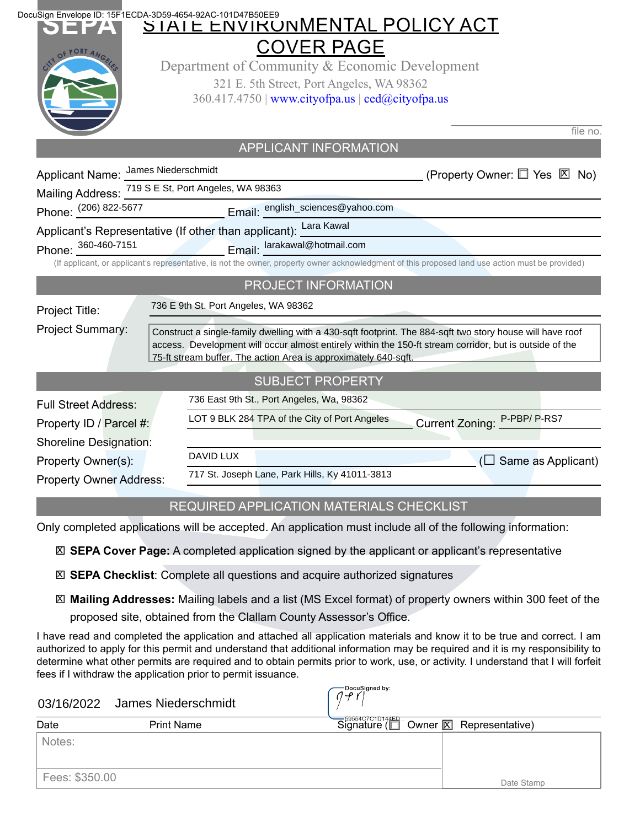| DocuSign Envelope ID: 15F1ECDA-3D59-4654-92AC-101D47B50EE9       |                                      | STATE ENVIKUNMENTAL POLICY ACT                                                                          |                                                                                                                                                  |
|------------------------------------------------------------------|--------------------------------------|---------------------------------------------------------------------------------------------------------|--------------------------------------------------------------------------------------------------------------------------------------------------|
|                                                                  |                                      | <b>COVER PAGE</b>                                                                                       |                                                                                                                                                  |
|                                                                  |                                      | Department of Community & Economic Development                                                          |                                                                                                                                                  |
|                                                                  |                                      | 321 E. 5th Street, Port Angeles, WA 98362                                                               |                                                                                                                                                  |
|                                                                  |                                      | 360.417.4750   www.cityofpa.us   ced@cityofpa.us                                                        |                                                                                                                                                  |
|                                                                  |                                      |                                                                                                         |                                                                                                                                                  |
|                                                                  |                                      |                                                                                                         | file no.                                                                                                                                         |
|                                                                  |                                      | <b>APPLICANT INFORMATION</b>                                                                            |                                                                                                                                                  |
| Applicant Name: James Niederschmidt                              |                                      |                                                                                                         | (Property Owner: □ Yes 図 No)                                                                                                                     |
| Mailing Address: 719 S E St, Port Angeles, WA 98363              |                                      |                                                                                                         |                                                                                                                                                  |
| Phone: (206) 822-5677                                            |                                      |                                                                                                         |                                                                                                                                                  |
| Applicant's Representative (If other than applicant): Lara Kawal |                                      |                                                                                                         |                                                                                                                                                  |
| Phone: 360-460-7151                                              |                                      | Email: larakawal@hotmail.com                                                                            |                                                                                                                                                  |
|                                                                  |                                      |                                                                                                         | (If applicant, or applicant's representative, is not the owner, property owner acknowledgment of this proposed land use action must be provided) |
|                                                                  |                                      | PROJECT INFORMATION                                                                                     |                                                                                                                                                  |
| Project Title:                                                   | 736 E 9th St. Port Angeles, WA 98362 |                                                                                                         |                                                                                                                                                  |
| Project Summary:                                                 |                                      |                                                                                                         | Construct a single-family dwelling with a 430-sqft footprint. The 884-sqft two story house will have roof                                        |
|                                                                  |                                      | access. Development will occur almost entirely within the 150-ft stream corridor, but is outside of the |                                                                                                                                                  |
|                                                                  |                                      | 75-ft stream buffer. The action Area is approximately 640-sqft.                                         |                                                                                                                                                  |
|                                                                  |                                      | <b>SUBJECT PROPERTY</b>                                                                                 |                                                                                                                                                  |
| <b>Full Street Address:</b>                                      |                                      | 736 East 9th St., Port Angeles, Wa, 98362                                                               |                                                                                                                                                  |
| Property ID / Parcel #:                                          |                                      | LOT 9 BLK 284 TPA of the City of Port Angeles                                                           | Current Zoning: P-PBP/P-RS7                                                                                                                      |
| <b>Shoreline Designation:</b>                                    |                                      |                                                                                                         |                                                                                                                                                  |
| Property Owner(s):                                               | DAVID LUX                            |                                                                                                         | $(\Box$ Same as Applicant)                                                                                                                       |
| <b>Property Owner Address:</b>                                   |                                      | 717 St. Joseph Lane, Park Hills, Ky 41011-3813                                                          |                                                                                                                                                  |
|                                                                  |                                      |                                                                                                         |                                                                                                                                                  |

## REQUIRED APPLICATION MATERIALS CHECKLIST

Only completed applications will be accepted. An application must include all of the following information:

**SEPA Cover Page:** A completed application signed by the applicant or applicant's representative X

**SEPA Checklist**: Complete all questions and acquire authorized signatures X

**Mailing Addresses:** Mailing labels and a list (MS Excel format) of property owners within 300 feet of the X

proposed site, obtained from the Clallam County Assessor's Office.

I have read and completed the application and attached all application materials and know it to be true and correct. I am authorized to apply for this permit and understand that additional information may be required and it is my responsibility to determine what other permits are required and to obtain permits prior to work, use, or activity. I understand that I will forfeit fees if I withdraw the application prior to permit issuance.

#### 03/16/2022 James Niederschmidt

|  |  | DocuSigned by: |  |
|--|--|----------------|--|
|  |  |                |  |
|  |  |                |  |

| Date           | <b>Print Name</b> | Signature (I Owner <b>X</b> Representative) |
|----------------|-------------------|---------------------------------------------|
| Notes:         |                   |                                             |
| Fees: \$350.00 |                   | Date Stamp                                  |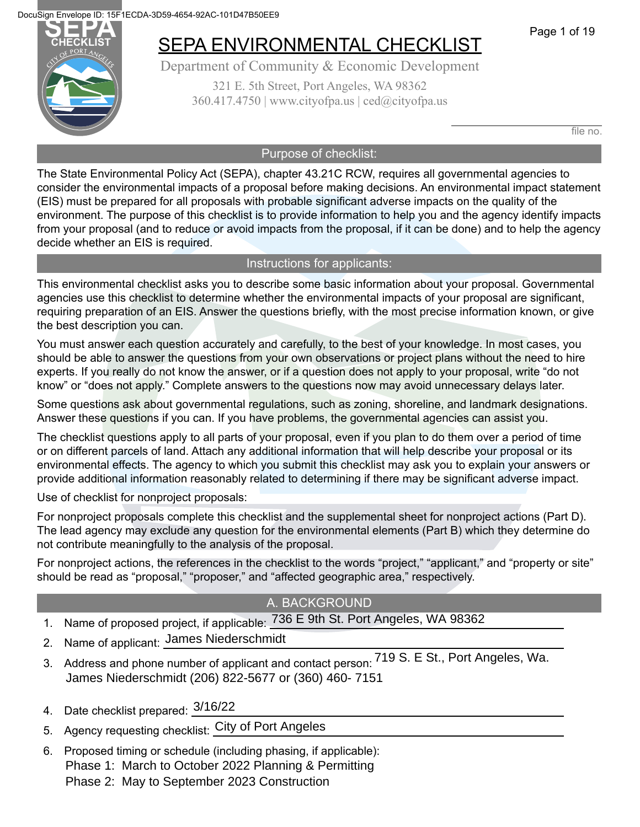



## SEPA ENVIRONMENTAL CHECKLIST

Department of Community & Economic Development 321 E. 5th Street, Port Angeles, WA 98362  $360.417.4750$  | www.cityofpa.us | ced $@$ cityofpa.us

file no.

#### Purpose of checklist:

The State Environmental Policy Act (SEPA), chapter 43.21C RCW, requires all governmental agencies to consider the environmental impacts of a proposal before making decisions. An environmental impact statement (EIS) must be prepared for all proposals with probable significant adverse impacts on the quality of the environment. The purpose of this checklist is to provide information to help you and the agency identify impacts from your proposal (and to reduce or avoid impacts from the proposal, if it can be done) and to help the agency decide whether an EIS is required.

#### Instructions for applicants:

This environmental checklist asks you to describe some basic information about your proposal. Governmental agencies use this checklist to determine whether the environmental impacts of your proposal are significant, requiring preparation of an EIS. Answer the questions briefly, with the most precise information known, or give the best description you can.

You must answer each question accurately and carefully, to the best of your knowledge. In most cases, you should be able to answer the questions from your own observations or project plans without the need to hire experts. If you really do not know the answer, or if a question does not apply to your proposal, write "do not know" or "does not apply." Complete answers to the questions now may avoid unnecessary delays later.

Some questions ask about governmental regulations, such as zoning, shoreline, and landmark designations. Answer these questions if you can. If you have problems, the governmental agencies can assist you.

The checklist questions apply to all parts of your proposal, even if you plan to do them over a period of time or on different parcels of land. Attach any additional information that will help describe your proposal or its environmental effects. The agency to which you submit this checklist may ask you to explain your answers or provide additional information reasonably related to determining if there may be significant adverse impact.

Use of checklist for nonproject proposals:

For nonproject proposals complete this checklist and the supplemental sheet for nonproject actions (Part D). The lead agency may exclude any question for the environmental elements (Part B) which they determine do not contribute meaningfully to the analysis of the proposal.

For nonproject actions, the references in the checklist to the words "project," "applicant," and "property or site" should be read as "proposal," "proposer," and "affected geographic area," respectively.

#### A. BACKGROUND

- 1. Name of proposed project, if applicable:  $\frac{736}{5}$  E 9th St. Port Angeles, WA 98362
- 2. Name of applicant: <u>James Niederschmidt</u>
- 3. Address and phone number of applicant and contact person: 719 S. E St., Port Angeles, Wa. James Niederschmidt (206) 822-5677 or (360) 460- 7151
- 4. Date checklist prepared:  $\frac{3/16/22}{2}$
- 5. Agency requesting checklist: City of Port Angeles
- 6. Proposed timing or schedule (including phasing, if applicable): Phase 1: March to October 2022 Planning & Permitting Phase 2: May to September 2023 Construction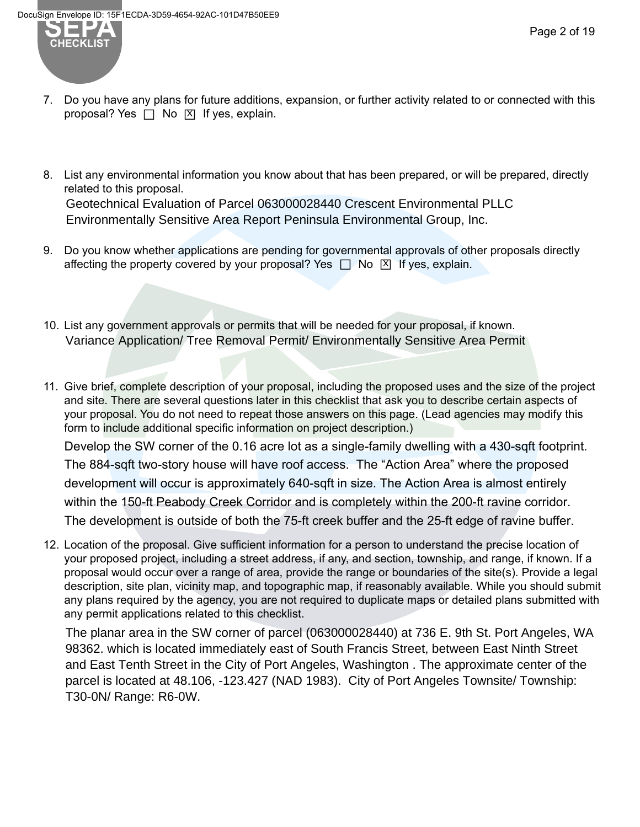

- 7. Do you have any plans for future additions, expansion, or further activity related to or connected with this  $P^{\text{S}}$  you have any praise for farm a determinant
- 8. List any environmental information you know about that has been prepared, or will be prepared, directly related to this proposal. Geotechnical Evaluation of Parcel 063000028440 Crescent Environmental PLLC Environmentally Sensitive Area Report Peninsula Environmental Group, Inc.
- 9. Do you know whether applications are pending for governmental approvals of other proposals directly affecting the property covered by your proposal? Yes □ No 囟 If yes, explain.
- 10. List any government approvals or permits that will be needed for your proposal, if known. Variance Application/ Tree Removal Permit/ Environmentally Sensitive Area Permit
- 11. Give brief, complete description of your proposal, including the proposed uses and the size of the project and site. There are several questions later in this checklist that ask you to describe certain aspects of your proposal. You do not need to repeat those answers on this page. (Lead agencies may modify this form to include additional specific information on project description.) Develop the SW corner of the 0.16 acre lot as a single-family dwelling with a 430-sqft footprint. The 884-sqft two-story house will have roof access. The "Action Area" where the proposed development will occur is approximately 640-sqft in size. The Action Area is almost entirely within the 150-ft Peabody Creek Corridor and is completely within the 200-ft ravine corridor. The development is outside of both the 75-ft creek buffer and the 25-ft edge of ravine buffer.
- 12. Location of the proposal. Give sufficient information for a person to understand the precise location of your proposed project, including a street address, if any, and section, township, and range, if known. If a proposal would occur over a range of area, provide the range or boundaries of the site(s). Provide a legal description, site plan, vicinity map, and topographic map, if reasonably available. While you should submit any plans required by the agency, you are not required to duplicate maps or detailed plans submitted with any permit applications related to this checklist.

The planar area in the SW corner of parcel (063000028440) at 736 E. 9th St. Port Angeles, WA 98362. which is located immediately east of South Francis Street, between East Ninth Street and East Tenth Street in the City of Port Angeles, Washington . The approximate center of the parcel is located at 48.106, -123.427 (NAD 1983). City of Port Angeles Townsite/ Township: T30-0N/ Range: R6-0W.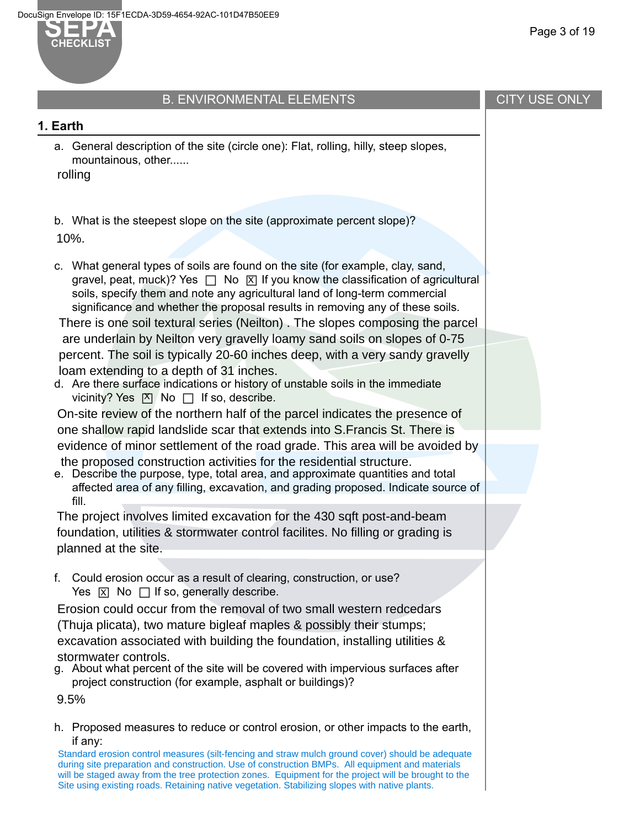

## B. ENVIRONMENTAL ELEMENTS

#### **1. Earth**

a. General description of the site (circle one): Flat, rolling, hilly, steep slopes, mountainous, other......

rolling

b. What is the steepest slope on the site (approximate percent slope)?

10%.

c. What general types of soils are found on the site (for example, clay, sand, gravel, peat, muck)? Yes  $\Box$  No  $\boxtimes$  If you know the classification of agricultural soils, specify them and note any agricultural land of long-term commercial significance and whether the proposal results in removing any of these soils.

There is one soil textural series (Neilton) . The slopes composing the parcel are underlain by Neilton very gravelly loamy sand soils on slopes of 0-75 percent. The soil is typically 20-60 inches deep, with a very sandy gravelly loam extending to a depth of 31 inches.

d. Are there surface indications or history of unstable soils in the immediate vicinity? Yes  $\boxtimes$  No  $\Box$  If so, describe.

On-site review of the northern half of the parcel indicates the presence of one shallow rapid landslide scar that extends into S.Francis St. There is evidence of minor settlement of the road grade. This area will be avoided by the proposed construction activities for the residential structure.

e. Describe the purpose, type, total area, and approximate quantities and total affected area of any filling, excavation, and grading proposed. Indicate source of fill.

The project involves limited excavation for the 430 sqft post-and-beam foundation, utilities & stormwater control facilites. No filling or grading is planned at the site.

f. Could erosion occur as a result of clearing, construction, or use?  $Yes \times No \text{ } \Box$  If so, generally describe.

Erosion could occur from the removal of two small western redcedars (Thuja plicata), two mature bigleaf maples & possibly their stumps; excavation associated with building the foundation, installing utilities & stormwater controls.

g. About what percent of the site will be covered with impervious surfaces after project construction (for example, asphalt or buildings)?

9.5%

h. Proposed measures to reduce or control erosion, or other impacts to the earth, if any:

Standard erosion control measures (silt-fencing and straw mulch ground cover) should be adequate during site preparation and construction. Use of construction BMPs. All equipment and materials will be staged away from the tree protection zones. Equipment for the project will be brought to the Site using existing roads. Retaining native vegetation. Stabilizing slopes with native plants.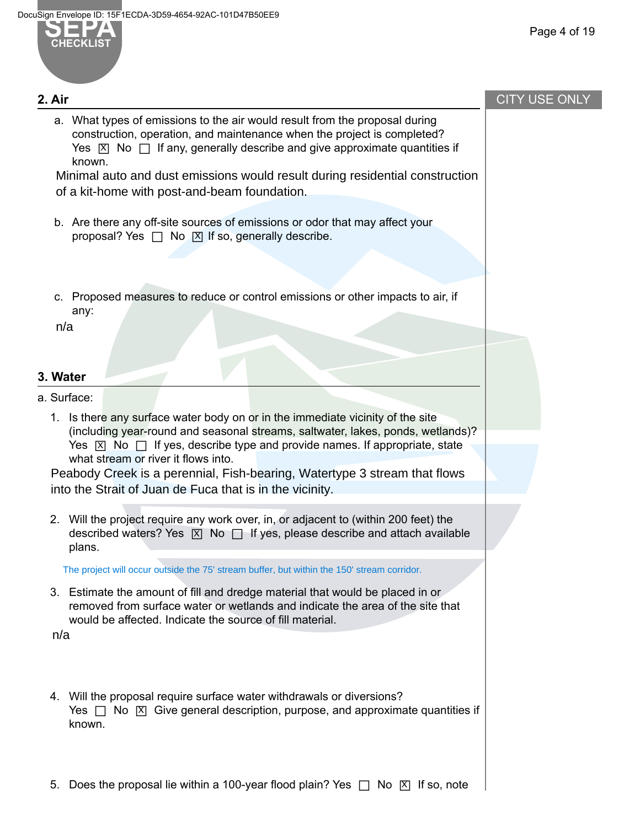

**2. Air**

### CITY USE ONLY

a. What types of emissions to the air would result from the proposal during construction, operation, and maintenance when the project is completed?  $Y$ es  $\boxtimes$  No  $\Box$  If any, generally describe and give approximate quantities if known.

Minimal auto and dust emissions would result during residential construction of a kit-home with post-and-beam foundation.

- b. Are there any off-site sources of emissions or odor that may affect your proposal? Yes  $\Box$  No  $\Box$  If so, generally describe.
- c. Proposed measures to reduce or control emissions or other impacts to air, if any:

n/a

#### **3. Water**

a. Surface:

1. Is there any surface water body on or in the immediate vicinity of the site (including year-round and seasonal streams, saltwater, lakes, ponds, wetlands)?  $Yes \times No \Box$  If yes, describe type and provide names. If appropriate, state what stream or river it flows into.

Peabody Creek is a perennial, Fish-bearing, Watertype 3 stream that flows into the Strait of Juan de Fuca that is in the vicinity.

2. Will the project require any work over, in, or adjacent to (within 200 feet) the  $\frac{d}{dx}$  are project require any networth, in, or adjacent to (minimized recipitor) increases described waters? Yes  $\boxed{X}$  No  $\boxed{I}$  If yes, please describe and attach available plans.

The project will occur outside the 75' stream buffer, but within the 150' stream corridor.

3. Estimate the amount of fill and dredge material that would be placed in or removed from surface water or wetlands and indicate the area of the site that would be affected. Indicate the source of fill material.

n/a

- 4. Will the proposal require surface water withdrawals or diversions? Yes □ No ⊠ Give general description, purpose, and approximate quantities if<br>Yes □ No ⊠ Give general description, purpose, and approximate quantities if known.
- 5. Does the proposal lie within a 100-year flood plain? Yes  $\Box$  No  $\boxtimes$  If so, note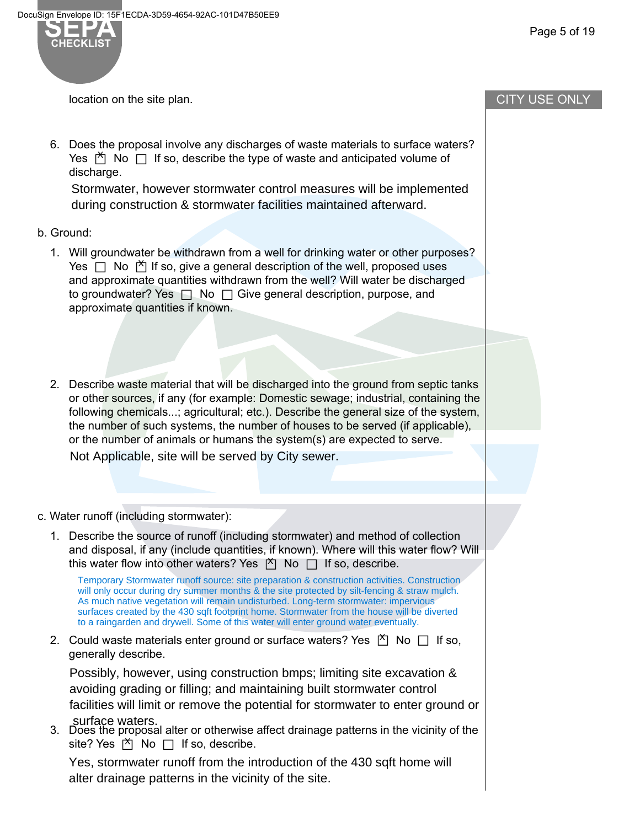

location on the site plan.

6. Does the proposal involve any discharges of waste materials to surface waters?  $Y$ es  $\uparrow$  No  $\Box$  If so, describe the type of waste and anticipated volume of Yus discharge.

Stormwater, however stormwater control measures will be implemented during construction & stormwater facilities maintained afterward.

- b. Ground:
	- 1. Will groundwater be withdrawn from a well for drinking water or other purposes?  $Yes \Box$  No  $\Box$  If so, give a general description of the well, proposed uses and approximate quantities withdrawn from the well? Will water be discharged to groundwater? Yes  $\Box$  No  $\Box$  Give general description, purpose, and approximate quantities if known.
	- 2. Describe waste material that will be discharged into the ground from septic tanks or other sources, if any (for example: Domestic sewage; industrial, containing the following chemicals...; agricultural; etc.). Describe the general size of the system, the number of such systems, the number of houses to be served (if applicable), or the number of animals or humans the system(s) are expected to serve.

Not Applicable, site will be served by City sewer.

- c. Water runoff (including stormwater):
	- 1. Describe the source of runoff (including stormwater) and method of collection and disposal, if any (include quantities, if known). Where will this water flow? Will this water flow into other waters? Yes  $\overline{M}$  No  $\Box$  If so, describe.

Temporary Stormwater runoff source: site preparation & construction activities. Construction will only occur during dry summer months & the site protected by silt-fencing & straw mulch. As much native vegetation will remain undisturbed. Long-term stormwater: impervious surfaces created by the 430 sqft footprint home. Stormwater from the house will be diverted to a raingarden and drywell. Some of this water will enter ground water eventually.

2. Could waste materials enter ground or surface waters? Yes  $\overline{M}$  No  $\Box$  If so, generally describe.

Possibly, however, using construction bmps; limiting site excavation & avoiding grading or filling; and maintaining built stormwater control facilities will limit or remove the potential for stormwater to enter ground or surface waters.

3. Does the proposal alter or otherwise affect drainage patterns in the vicinity of the site? Yes  $\uparrow$  No  $\Box$  If so, describe.

Yes, stormwater runoff from the introduction of the 430 sqft home will alter drainage patterns in the vicinity of the site.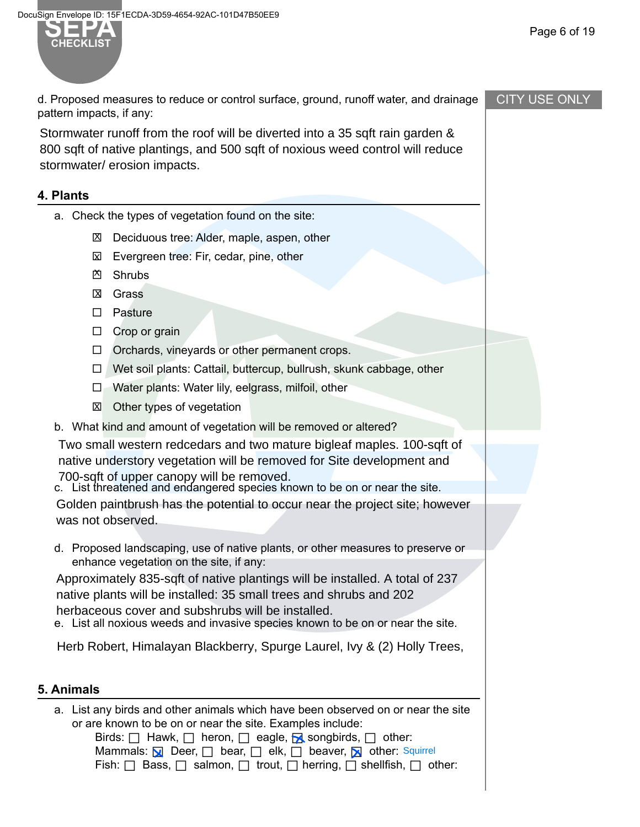

d. Proposed measures to reduce or control surface, ground, runoff water, and drainage pattern impacts, if any:

Stormwater runoff from the roof will be diverted into a 35 sqft rain garden & 800 sqft of native plantings, and 500 sqft of noxious weed control will reduce stormwater/ erosion impacts.

### **4. Plants**

- a. Check the types of vegetation found on the site:
	- ⊠ Deciduous tree: Alder, maple, aspen, other
	- **⊠** Evergreen tree: Fir, cedar, pine, other
	- Shrubs X
	- Grass X
	- □ Pasture
	- □ Crop or grain
	- $\Box$  Orchards, vineyards or other permanent crops.
	- $\Box$  Wet soil plants: Cattail, buttercup, bullrush, skunk cabbage, other
	- $\Box$  Water plants: Water lily, eelgrass, milfoil, other
	- ⊠ Other types of vegetation
- b. What kind and amount of vegetation will be removed or altered?

Two small western redcedars and two mature bigleaf maples. 100-sqft of native understory vegetation will be removed for Site development and 700-sqft of upper canopy will be removed.

c. List threatened and endangered species known to be on or near the site.

Golden paintbrush has the potential to occur near the project site; however was not observed.

d. Proposed landscaping, use of native plants, or other measures to preserve or enhance vegetation on the site, if any:

Approximately 835-sqft of native plantings will be installed. A total of 237 native plants will be installed: 35 small trees and shrubs and 202 herbaceous cover and subshrubs will be installed.

e. List all noxious weeds and invasive species known to be on or near the site.

Herb Robert, Himalayan Blackberry, Spurge Laurel, Ivy & (2) Holly Trees,

## **5. Animals**

a. List any birds and other animals which have been observed on or near the site or are known to be on or near the site. Examples include:

Birds:  $\Box$  Hawk,  $\Box$  heron,  $\Box$  eagle,  $\Box$  songbirds,  $\Box$  other: Deer, □ bear, □ elk, □ beaver, Mother: Squirrel Fish:  $\Box$  Bass,  $\Box$  salmon,  $\Box$  trout,  $\Box$  herring,  $\Box$  shellfish,  $\Box$  other: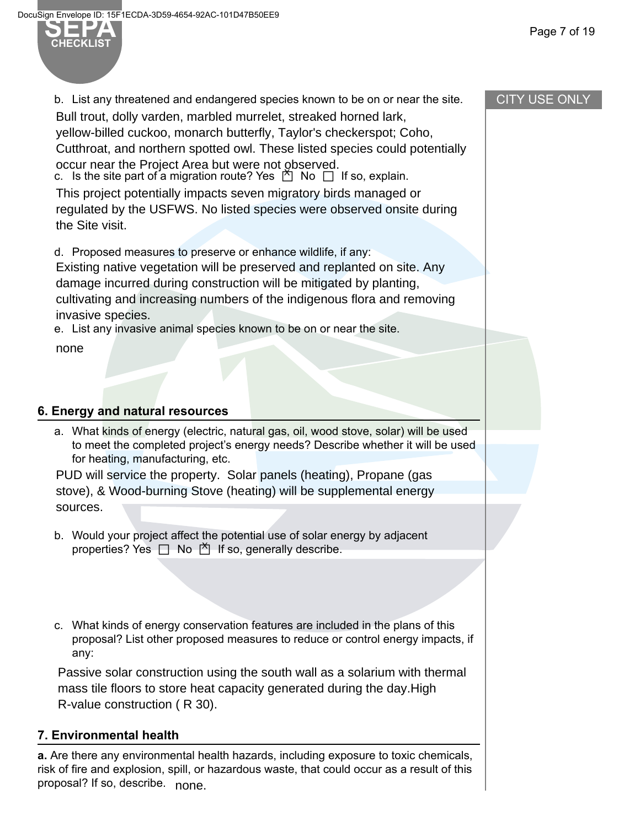**SEPA** 

b. List any threatened and endangered species known to be on or near the site. c. Is the site part of a migration route? Yes  $\bigcirc$  No  $\Box$  If so, explain. Bull trout, dolly varden, marbled murrelet, streaked horned lark, yellow-billed cuckoo, monarch butterfly, Taylor's checkerspot; Coho, Cutthroat, and northern spotted owl. These listed species could potentially occur near the Project Area but were not observed.

This project potentially impacts seven migratory birds managed or regulated by the USFWS. No listed species were observed onsite during the Site visit.

d. Proposed measures to preserve or enhance wildlife, if any:

Existing native vegetation will be preserved and replanted on site. Any damage incurred during construction will be mitigated by planting, cultivating and increasing numbers of the indigenous flora and removing invasive species.

e. List any invasive animal species known to be on or near the site.

none

### **6. Energy and natural resources**

a. What kinds of energy (electric, natural gas, oil, wood stove, solar) will be used to meet the completed project's energy needs? Describe whether it will be used for heating, manufacturing, etc.

PUD will service the property. Solar panels (heating), Propane (gas stove), & Wood-burning Stove (heating) will be supplemental energy sources.

- b. Would your project affect the potential use of solar energy by adjacent properties? Yes  $\Box$  No  $\overline{\Box}$  If so, generally describe.
- c. What kinds of energy conservation features are included in the plans of this proposal? List other proposed measures to reduce or control energy impacts, if any:

Passive solar construction using the south wall as a solarium with thermal mass tile floors to store heat capacity generated during the day.High R-value construction ( R 30).

#### **7. Environmental health**

**a.** Are there any environmental health hazards, including exposure to toxic chemicals, risk of fire and explosion, spill, or hazardous waste, that could occur as a result of this proposal? If so, describe. none.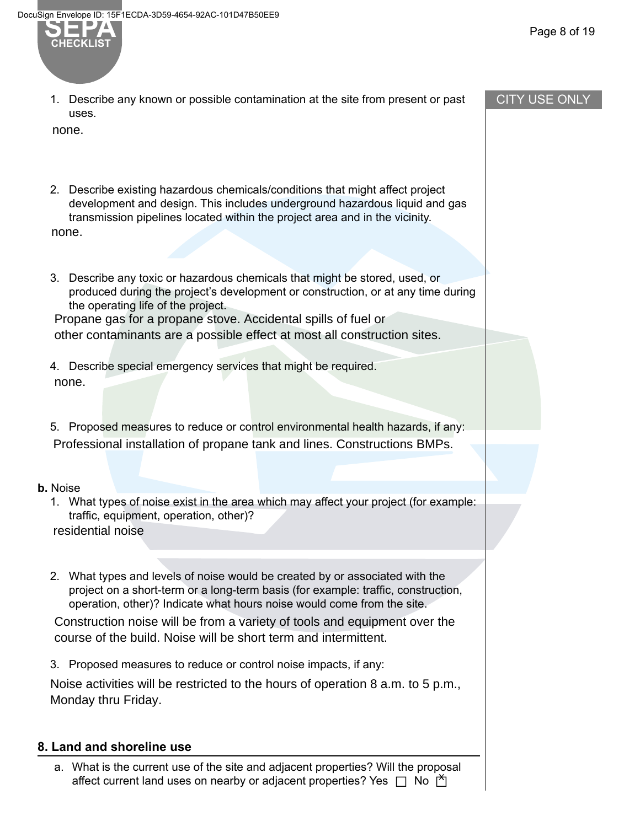## CITY USE ONLY

**SEPA** 

1. Describe any known or possible contamination at the site from present or past uses.

none.

- 2. Describe existing hazardous chemicals/conditions that might affect project development and design. This includes underground hazardous liquid and gas transmission pipelines located within the project area and in the vicinity. none.
- 3. Describe any toxic or hazardous chemicals that might be stored, used, or produced during the project's development or construction, or at any time during the operating life of the project. Propane gas for a propane stove. Accidental spills of fuel or

other contaminants are a possible effect at most all construction sites.

- 4. Describe special emergency services that might be required. none.
- 5. Proposed measures to reduce or control environmental health hazards, if any: Professional installation of propane tank and lines. Constructions BMPs.

#### **b.** Noise

1. What types of noise exist in the area which may affect your project (for example: traffic, equipment, operation, other)?

residential noise

2. What types and levels of noise would be created by or associated with the project on a short-term or a long-term basis (for example: traffic, construction, operation, other)? Indicate what hours noise would come from the site.

Construction noise will be from a variety of tools and equipment over the course of the build. Noise will be short term and intermittent.

3. Proposed measures to reduce or control noise impacts, if any:

Noise activities will be restricted to the hours of operation 8 a.m. to 5 p.m., Monday thru Friday.

## **8. Land and shoreline use**

a. What is the current use of the site and adjacent properties? Will the proposal affect current land uses on nearby or adjacent properties? Yes □ No no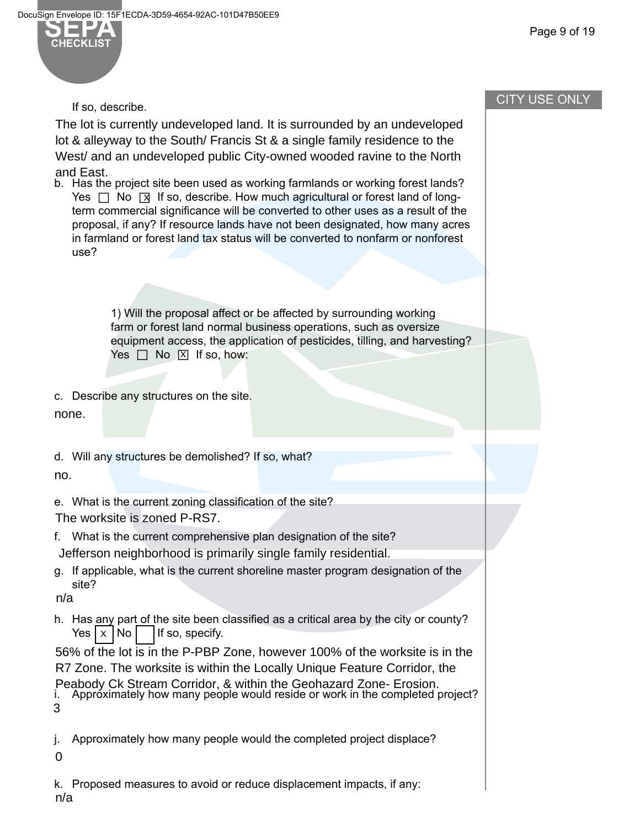

Page 9 of 19

#### If so, describe.

The lot is currently undeveloped land. It is surrounded by an undeveloped lot & alleyway to the South/ Francis St & a single family residence to the West/ and an undeveloped public City-owned wooded ravine to the North and East.

b. Has the project site been used as working farmlands or working forest lands?  $Y$ es  $\Box$  No  $\Box$  If so, describe. How much agricultural or forest land of longterm commercial significance will be converted to other uses as a result of the proposal, if any? If resource lands have not been designated, how many acres in farmland or forest land tax status will be converted to nonfarm or nonforest use?

> 1) Will the proposal affect or be affected by surrounding working farm or forest land normal business operations, such as oversize equipment access, the application of pesticides, tilling, and harvesting?  $Yes \Box No \boxtimes If so, how:$

c. Describe any structures on the site.

none.

d. Will any structures be demolished? If so, what?

no.

e. What is the current zoning classification of the site? The worksite is zoned P-RS7.

- f. What is the current comprehensive plan designation of the site? Jefferson neighborhood is primarily single family residential.
- g. If applicable, what is the current shoreline master program designation of the site?

n/a

h. Has any part of the site been classified as a critical area by the city or county? If so, specify. Yes | x | No

56% of the lot is in the P-PBP Zone, however 100% of the worksite is in the R7 Zone. The worksite is within the Locally Unique Feature Corridor, the

i. Approximately how many people would reside or work in the completed project? Peabody Ck Stream Corridor, & within the Geohazard Zone- Erosion. 3

j. Approximately how many people would the completed project displace?

- 0
- k. Proposed measures to avoid or reduce displacement impacts, if any: n/a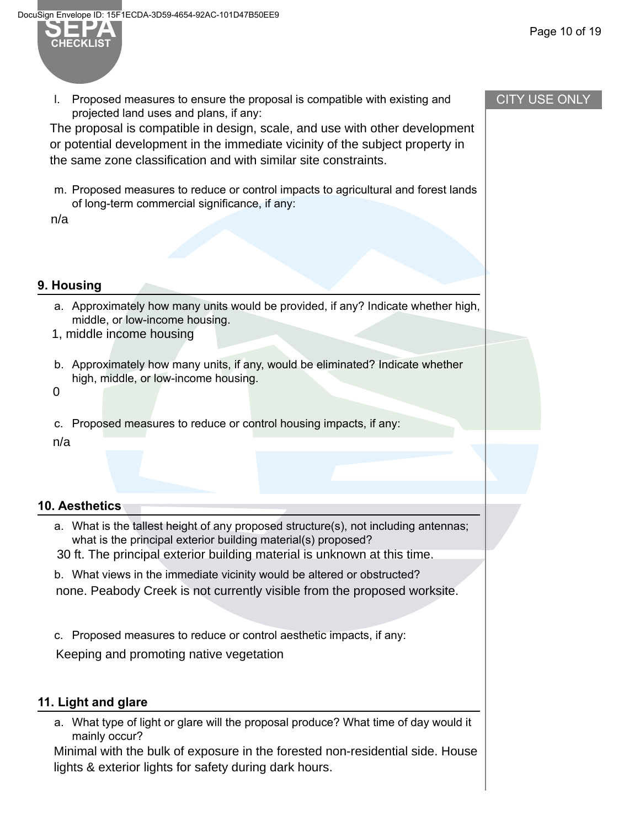

l. Proposed measures to ensure the proposal is compatible with existing and projected land uses and plans, if any:

The proposal is compatible in design, scale, and use with other development or potential development in the immediate vicinity of the subject property in the same zone classification and with similar site constraints.

m. Proposed measures to reduce or control impacts to agricultural and forest lands of long-term commercial significance, if any:

n/a

#### **9. Housing**

- a. Approximately how many units would be provided, if any? Indicate whether high, middle, or low-income housing.
- 1, middle income housing
- b. Approximately how many units, if any, would be eliminated? Indicate whether high, middle, or low-income housing.
- 0
- c. Proposed measures to reduce or control housing impacts, if any:

n/a

#### **10. Aesthetics**

- a. What is the tallest height of any proposed structure(s), not including antennas; what is the principal exterior building material(s) proposed?
- 30 ft. The principal exterior building material is unknown at this time.
- b. What views in the immediate vicinity would be altered or obstructed? none. Peabody Creek is not currently visible from the proposed worksite.
- c. Proposed measures to reduce or control aesthetic impacts, if any:

Keeping and promoting native vegetation

## **11. Light and glare**

a. What type of light or glare will the proposal produce? What time of day would it mainly occur?

Minimal with the bulk of exposure in the forested non-residential side. House lights & exterior lights for safety during dark hours.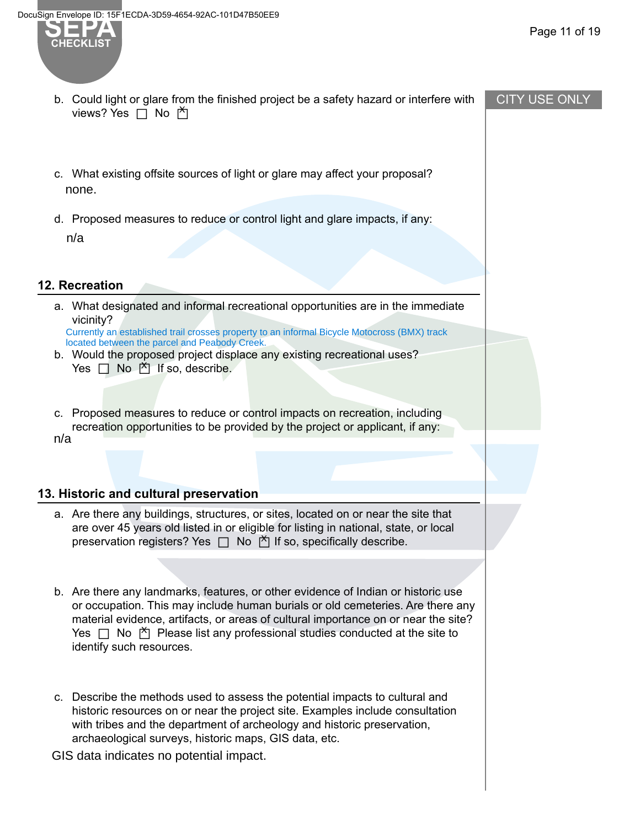views? Yes □ No 的



#### CITY USE ONLY

c. What existing offsite sources of light or glare may affect your proposal? none.

b. Could light or glare from the finished project be a safety hazard or interfere with

d. Proposed measures to reduce or control light and glare impacts, if any: n/a

#### **12. Recreation**

a. What designated and informal recreational opportunities are in the immediate vicinity?

Currently an established trail crosses property to an informal Bicycle Motocross (BMX) track located between the parcel and Peabody Creek.

- b. Would the proposed project displace any existing recreational uses? Yes  $\Box$  No  $\overline{M}$  If so, describe.
- c. Proposed measures to reduce or control impacts on recreation, including recreation opportunities to be provided by the project or applicant, if any: n/a

#### **13. Historic and cultural preservation**

- a. Are there any buildings, structures, or sites, located on or near the site that are over 45 years old listed in or eligible for listing in national, state, or local preservation registers? Yes □ No □ If so, specifically describe. X
- b. Are there any landmarks, features, or other evidence of Indian or historic use or occupation. This may include human burials or old cemeteries. Are there any material evidence, artifacts, or areas of cultural importance on or near the site?  $Y$ es  $\Box$  No  $\Box$  Please list any professional studies conducted at the site to  $\Box$ identify such resources.
- c. Describe the methods used to assess the potential impacts to cultural and historic resources on or near the project site. Examples include consultation with tribes and the department of archeology and historic preservation, archaeological surveys, historic maps, GIS data, etc.
- GIS data indicates no potential impact.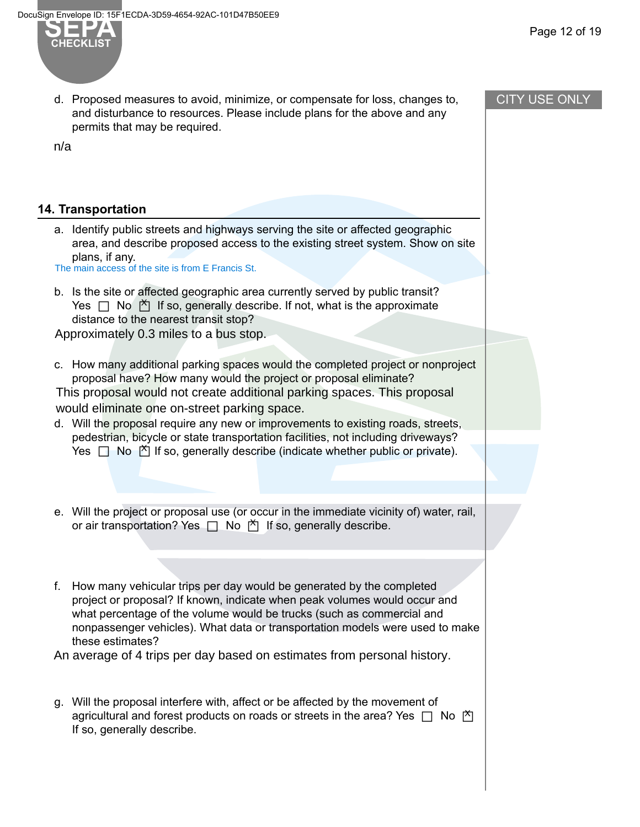

d. Proposed measures to avoid, minimize, or compensate for loss, changes to, and disturbance to resources. Please include plans for the above and any permits that may be required.

n/a

#### **14. Transportation**

a. Identify public streets and highways serving the site or affected geographic area, and describe proposed access to the existing street system. Show on site plans, if any.

The main access of the site is from E Francis St.

b. Is the site or affected geographic area currently served by public transit?  $Yes \Box No \Box$  If so, generally describe. If not, what is the approximate distance to the nearest transit stop?

Approximately 0.3 miles to a bus stop.

c. How many additional parking spaces would the completed project or nonproject proposal have? How many would the project or proposal eliminate?

This proposal would not create additional parking spaces. This proposal would eliminate one on-street parking space.

- d. Will the proposal require any new or improvements to existing roads, streets, pedestrian, bicycle or state transportation facilities, not including driveways? Presentially and of the competition results of including an end of the New Yes □ No not if so, generally describe (indicate whether public or private).
- e. Will the project or proposal use (or occur in the immediate vicinity of) water, rail, or air transportation? Yes □ No □ If so, generally describe. X
- f. How many vehicular trips per day would be generated by the completed project or proposal? If known, indicate when peak volumes would occur and what percentage of the volume would be trucks (such as commercial and nonpassenger vehicles). What data or transportation models were used to make these estimates?

An average of 4 trips per day based on estimates from personal history.

g. Will the proposal interfere with, affect or be affected by the movement of agricultural and forest products on roads or streets in the area? Yes □ No □ X If so, generally describe.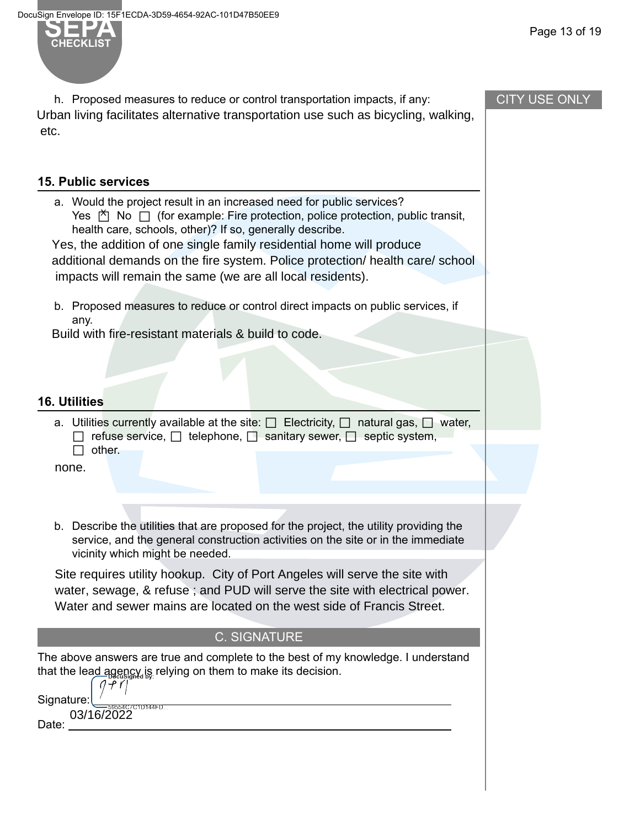**CHECKLIST**

Page 13 of 19

| h. Proposed measures to reduce or control transportation impacts, if any:<br>Urban living facilitates alternative transportation use such as bicycling, walking,<br>etc.                                                                                                |                                                                                                                                                                                            | <b>CITY USE ONLY</b> |
|-------------------------------------------------------------------------------------------------------------------------------------------------------------------------------------------------------------------------------------------------------------------------|--------------------------------------------------------------------------------------------------------------------------------------------------------------------------------------------|----------------------|
|                                                                                                                                                                                                                                                                         |                                                                                                                                                                                            |                      |
| <b>15. Public services</b>                                                                                                                                                                                                                                              |                                                                                                                                                                                            |                      |
| a. Would the project result in an increased need for public services?<br>health care, schools, other)? If so, generally describe.<br>Yes, the addition of one single family residential home will produce<br>impacts will remain the same (we are all local residents). | Yes $\stackrel{\times}{\sim}$ No $\Box$ (for example: Fire protection, police protection, public transit,<br>additional demands on the fire system. Police protection/ health care/ school |                      |
| b. Proposed measures to reduce or control direct impacts on public services, if<br>any.                                                                                                                                                                                 |                                                                                                                                                                                            |                      |
| Build with fire-resistant materials & build to code.                                                                                                                                                                                                                    |                                                                                                                                                                                            |                      |
|                                                                                                                                                                                                                                                                         |                                                                                                                                                                                            |                      |
| <b>16. Utilities</b>                                                                                                                                                                                                                                                    |                                                                                                                                                                                            |                      |
| other.                                                                                                                                                                                                                                                                  | a. Utilities currently available at the site: $\Box$ Electricity, $\Box$ natural gas, $\Box$ water,<br>refuse service, $\Box$ telephone, $\Box$ sanitary sewer, $\Box$ septic system,      |                      |
| none.                                                                                                                                                                                                                                                                   |                                                                                                                                                                                            |                      |
|                                                                                                                                                                                                                                                                         |                                                                                                                                                                                            |                      |
| vicinity which might be needed.                                                                                                                                                                                                                                         | b. Describe the utilities that are proposed for the project, the utility providing the<br>service, and the general construction activities on the site or in the immediate                 |                      |
| Site requires utility hookup. City of Port Angeles will serve the site with<br>Water and sewer mains are located on the west side of Francis Street.                                                                                                                    | water, sewage, & refuse; and PUD will serve the site with electrical power.                                                                                                                |                      |
|                                                                                                                                                                                                                                                                         | <b>C. SIGNATURE</b>                                                                                                                                                                        |                      |
| The above answers are true and complete to the best of my knowledge. I understand<br>that the lead agency is relying on them to make its decision.<br>$(1 + r)$                                                                                                         |                                                                                                                                                                                            |                      |
| Signature:<br>$-59554C7C1D144FD$                                                                                                                                                                                                                                        |                                                                                                                                                                                            |                      |
| 03/16/2022<br>Date:                                                                                                                                                                                                                                                     |                                                                                                                                                                                            |                      |
|                                                                                                                                                                                                                                                                         |                                                                                                                                                                                            |                      |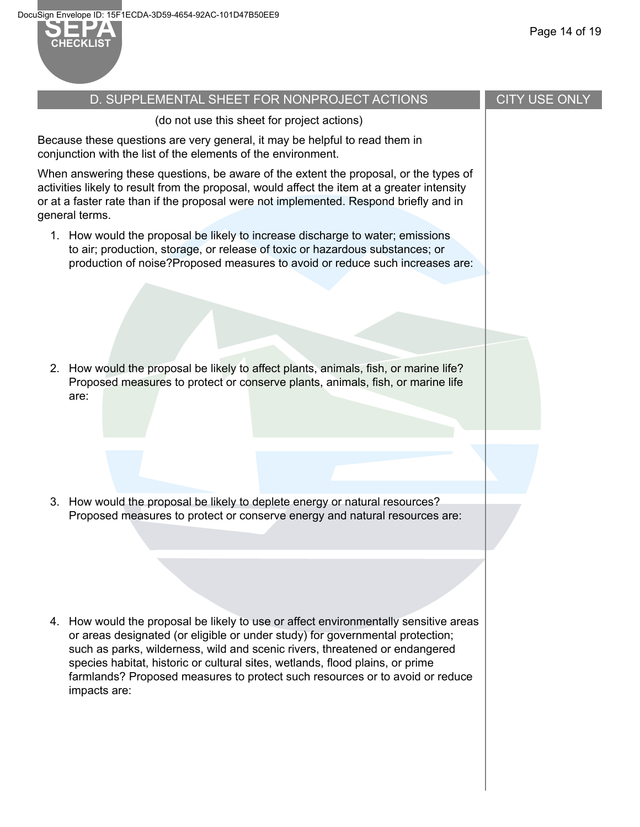

# Page 14 of 19

# D. SUPPLEMENTAL SHEET FOR NONPROJECT ACTIONS (do not use this sheet for project actions) Because these questions are very general, it may be helpful to read them in conjunction with the list of the elements of the environment. When answering these questions, be aware of the extent the proposal, or the types of activities likely to result from the proposal, would affect the item at a greater intensity or at a faster rate than if the proposal were not implemented. Respond briefly and in general terms. 1. How would the proposal be likely to increase discharge to water; emissions to air; production, storage, or release of toxic or hazardous substances; or production of noise?Proposed measures to avoid or reduce such increases are: 2. How would the proposal be likely to affect plants, animals, fish, or marine life? Proposed measures to protect or conserve plants, animals, fish, or marine life are: 3. How would the proposal be likely to deplete energy or natural resources? Proposed measures to protect or conserve energy and natural resources are: 4. How would the proposal be likely to use or affect environmentally sensitive areas or areas designated (or eligible or under study) for governmental protection; such as parks, wilderness, wild and scenic rivers, threatened or endangered species habitat, historic or cultural sites, wetlands, flood plains, or prime farmlands? Proposed measures to protect such resources or to avoid or reduce impacts are: CITY USE ONLY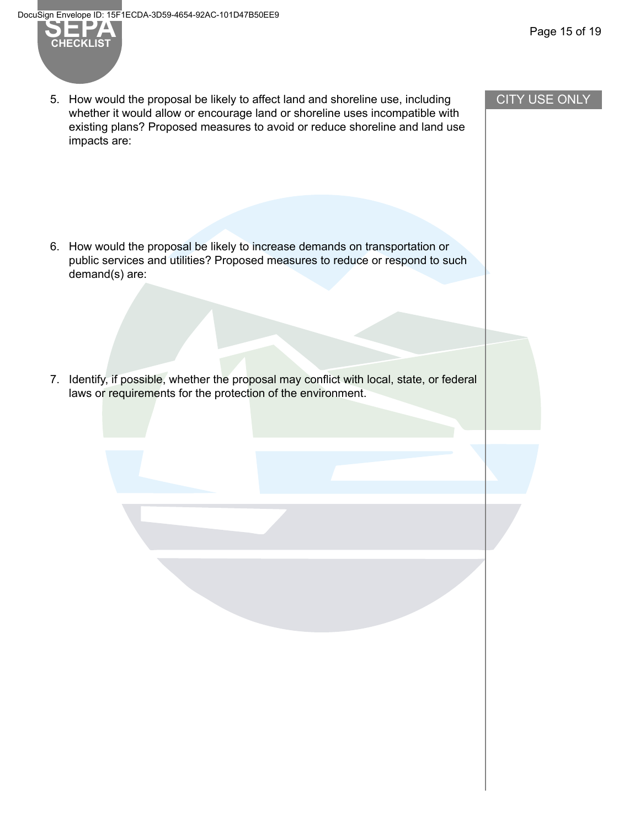Page 15 of 19



5. How would the proposal be likely to affect land and shoreline use, including whether it would allow or encourage land or shoreline uses incompatible with existing plans? Proposed measures to avoid or reduce shoreline and land use impacts are:

6. How would the proposal be likely to increase demands on transportation or public services and utilities? Proposed measures to reduce or respond to such demand(s) are:

7. Identify, if possible, whether the proposal may conflict with local, state, or federal laws or requirements for the protection of the environment.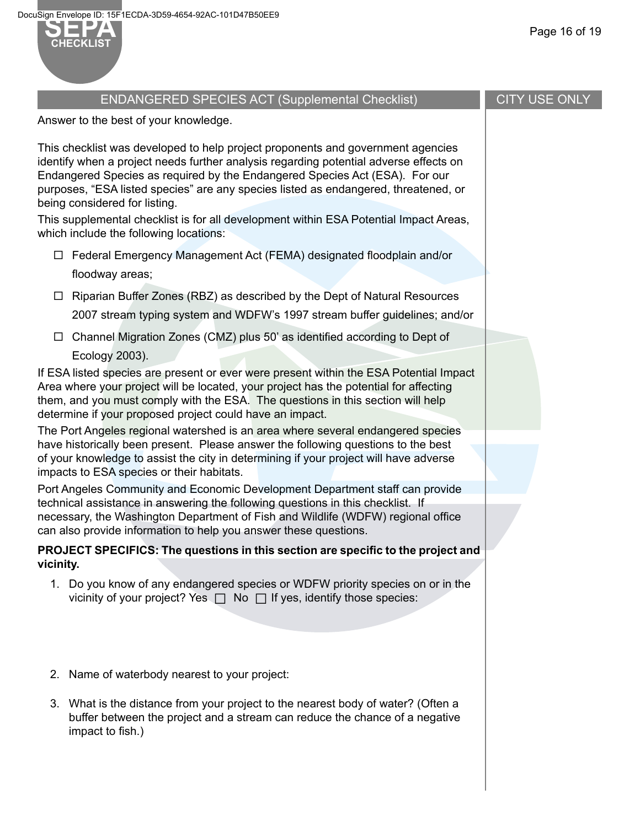#### Page 16 of 19

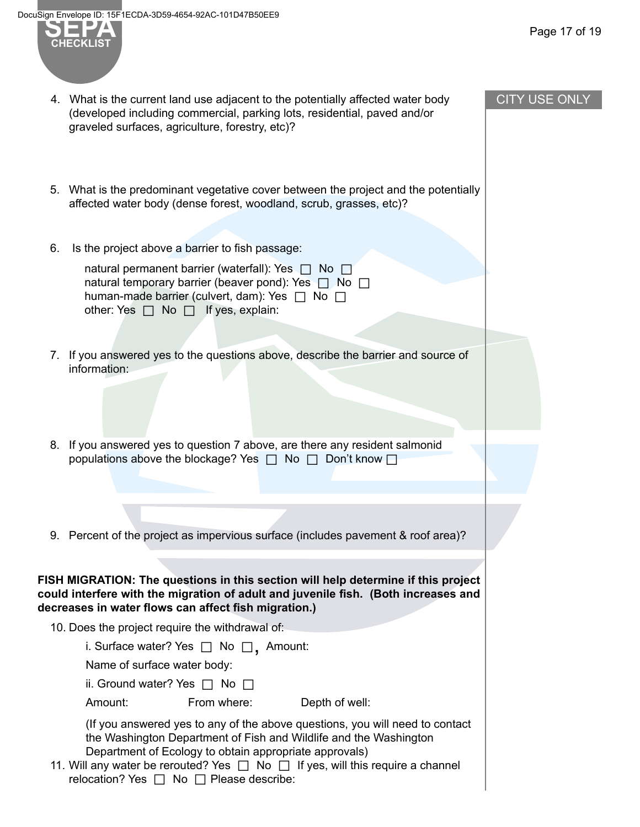**CHECKLIST**



| 4. What is the current land use adjacent to the potentially affected water body<br>(developed including commercial, parking lots, residential, paved and/or<br>graveled surfaces, agriculture, forestry, etc)?                                                                                                                                     | <b>CITY USE ONLY</b> |
|----------------------------------------------------------------------------------------------------------------------------------------------------------------------------------------------------------------------------------------------------------------------------------------------------------------------------------------------------|----------------------|
| 5. What is the predominant vegetative cover between the project and the potentially                                                                                                                                                                                                                                                                |                      |
| affected water body (dense forest, woodland, scrub, grasses, etc)?                                                                                                                                                                                                                                                                                 |                      |
| Is the project above a barrier to fish passage:<br>6.                                                                                                                                                                                                                                                                                              |                      |
| natural permanent barrier (waterfall): Yes $\Box$ No $\Box$<br>natural temporary barrier (beaver pond): Yes $\Box$ No $\Box$<br>human-made barrier (culvert, dam): Yes $\Box$ No $\Box$<br>other: Yes $\Box$ No $\Box$ If yes, explain:                                                                                                            |                      |
| 7. If you answered yes to the questions above, describe the barrier and source of<br>information:                                                                                                                                                                                                                                                  |                      |
|                                                                                                                                                                                                                                                                                                                                                    |                      |
| 8. If you answered yes to question 7 above, are there any resident salmonid<br>populations above the blockage? Yes $\Box$ No $\Box$ Don't know $\Box$                                                                                                                                                                                              |                      |
|                                                                                                                                                                                                                                                                                                                                                    |                      |
| 9. Percent of the project as impervious surface (includes pavement & roof area)?                                                                                                                                                                                                                                                                   |                      |
| FISH MIGRATION: The questions in this section will help determine if this project<br>could interfere with the migration of adult and juvenile fish. (Both increases and<br>decreases in water flows can affect fish migration.)                                                                                                                    |                      |
| 10. Does the project require the withdrawal of:                                                                                                                                                                                                                                                                                                    |                      |
| i. Surface water? Yes $\Box$ No $\Box$ , Amount:                                                                                                                                                                                                                                                                                                   |                      |
| Name of surface water body:                                                                                                                                                                                                                                                                                                                        |                      |
| ii. Ground water? Yes $\Box$ No $\Box$                                                                                                                                                                                                                                                                                                             |                      |
| From where:<br>Depth of well:<br>Amount:                                                                                                                                                                                                                                                                                                           |                      |
| (If you answered yes to any of the above questions, you will need to contact<br>the Washington Department of Fish and Wildlife and the Washington<br>Department of Ecology to obtain appropriate approvals)<br>11. Will any water be rerouted? Yes $\Box$ No $\Box$ If yes, will this require a channel<br>relocation? Yes □ No □ Please describe: |                      |
|                                                                                                                                                                                                                                                                                                                                                    |                      |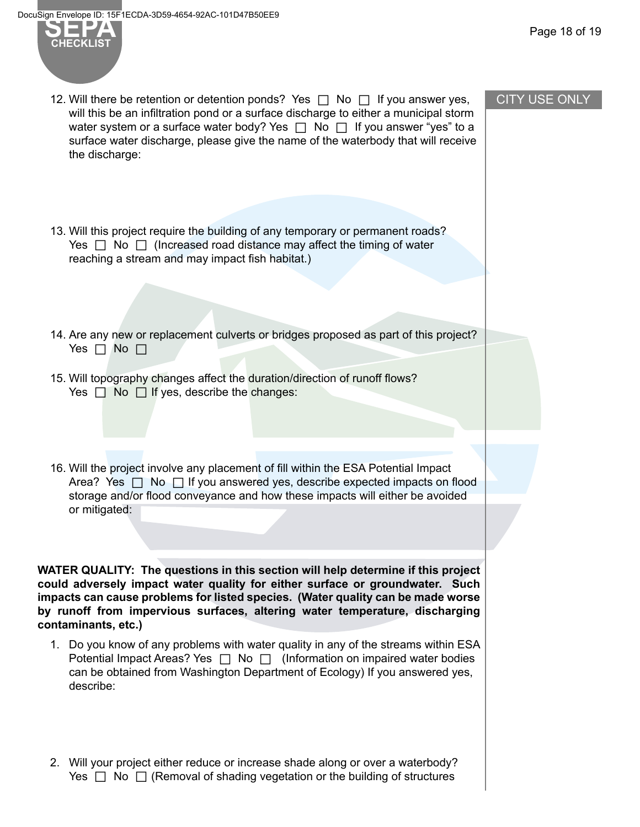

- 12. Will there be retention or detention ponds? Yes  $\Box$  No  $\Box$  If you answer yes, will this be an infiltration pond or a surface discharge to either a municipal storm water system or a surface water body? Yes  $\Box$  No  $\Box$  If you answer "yes" to a surface water discharge, please give the name of the waterbody that will receive the discharge:
- 13. Will this project require the building of any temporary or permanent roads? Yes  $\Box$  No  $\Box$  (Increased road distance may affect the timing of water reaching a stream and may impact fish habitat.)
- 14. Are any new or replacement culverts or bridges proposed as part of this project? Yes  $\Box$  No  $\Box$
- 15. Will topography changes affect the duration/direction of runoff flows? Yes  $\Box$  No  $\Box$  If yes, describe the changes:
- 16. Will the project involve any placement of fill within the ESA Potential Impact Area? Yes  $\Box$  No  $\Box$  If you answered yes, describe expected impacts on flood storage and/or flood conveyance and how these impacts will either be avoided or mitigated:

**WATER QUALITY: The questions in this section will help determine if this project could adversely impact water quality for either surface or groundwater. Such impacts can cause problems for listed species. (Water quality can be made worse by runoff from impervious surfaces, altering water temperature, discharging contaminants, etc.)**

- 1. Do you know of any problems with water quality in any of the streams within ESA Potential Impact Areas? Yes  $\Box$  No  $\Box$  (Information on impaired water bodies can be obtained from Washington Department of Ecology) If you answered yes, describe:
- 2. Will your project either reduce or increase shade along or over a waterbody? Yes  $\Box$  No  $\Box$  (Removal of shading vegetation or the building of structures